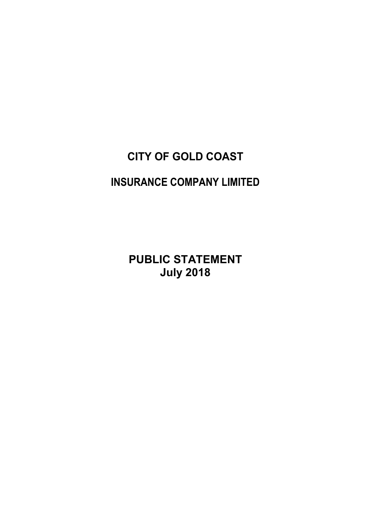# **CITY OF GOLD COAST INSURANCE COMPANY LIMITED**

**PUBLIC STATEMENT July 2018**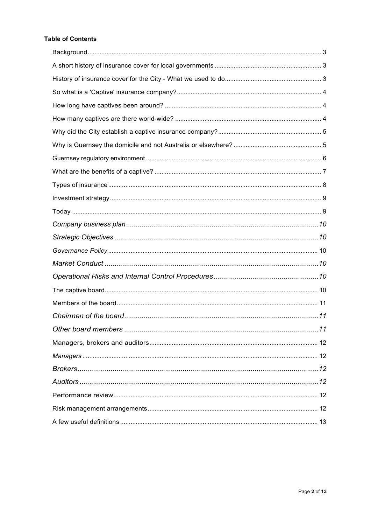# **Table of Contents**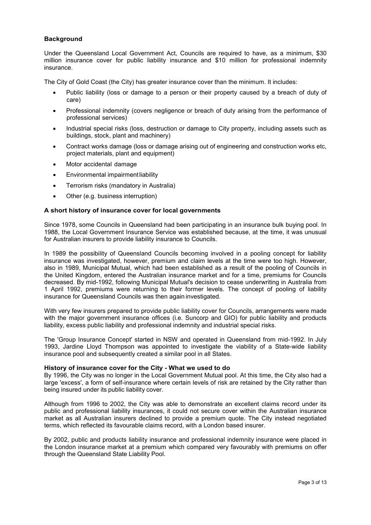# <span id="page-2-0"></span>**Background**

Under the Queensland Local Government Act, Councils are required to have, as a minimum, \$30 million insurance cover for public liability insurance and \$10 million for professional indemnity insurance.

The City of Gold Coast (the City) has greater insurance cover than the minimum. It includes:

- Public liability (loss or damage to a person or their property caused by a breach of duty of care)
- Professional indemnity (covers negligence or breach of duty arising from the performance of professional services)
- Industrial special risks (loss, destruction or damage to City property, including assets such as buildings, stock, plant and machinery)
- Contract works damage (loss or damage arising out of engineering and construction works etc, project materials, plant and equipment)
- Motor accidental damage
- Environmental impairmentliability
- Terrorism risks (mandatory in Australia)
- Other (e.g. business interruption)

#### <span id="page-2-1"></span>**A short history of insurance cover for local governments**

Since 1978, some Councils in Queensland had been participating in an insurance bulk buying pool. In 1988, the Local Government Insurance Service was established because, at the time, it was unusual for Australian insurers to provide liability insurance to Councils.

In 1989 the possibility of Queensland Councils becoming involved in a pooling concept for liability insurance was investigated, however, premium and claim levels at the time were too high. However, also in 1989, Municipal Mutual, which had been established as a result of the pooling of Councils in the United Kingdom, entered the Australian insurance market and for a time, premiums for Councils decreased. By mid-1992, following Municipal Mutual's decision to cease underwriting in Australia from 1 April 1992, premiums were returning to their former levels. The concept of pooling of liability insurance for Queensland Councils was then again investigated.

With very few insurers prepared to provide public liability cover for Councils, arrangements were made with the major government insurance offices (i.e. Suncorp and GIO) for public liability and products liability, excess public liability and professional indemnity and industrial special risks.

The 'Group Insurance Concept' started in NSW and operated in Queensland from mid-1992. In July 1993, Jardine Lloyd Thompson was appointed to investigate the viability of a State-wide liability insurance pool and subsequently created a similar pool in all States.

#### <span id="page-2-2"></span>**History of insurance cover for the City - What we used to do**

By 1996, the City was no longer in the Local Government Mutual pool. At this time, the City also had a large 'excess', a form of self-insurance where certain levels of risk are retained by the City rather than being insured under its public liability cover.

Although from 1996 to 2002, the City was able to demonstrate an excellent claims record under its public and professional liability insurances, it could not secure cover within the Australian insurance market as all Australian insurers declined to provide a premium quote. The City instead negotiated terms, which reflected its favourable claims record, with a London based insurer.

By 2002, public and products liability insurance and professional indemnity insurance were placed in the London insurance market at a premium which compared very favourably with premiums on offer through the Queensland State Liability Pool.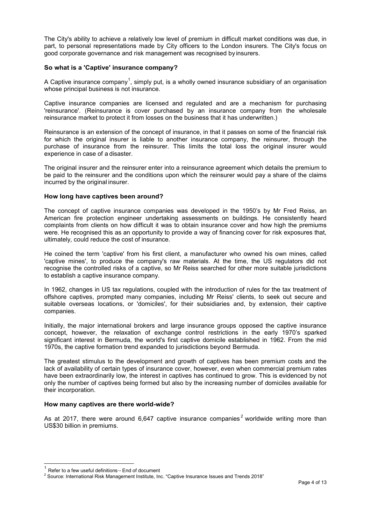The City's ability to achieve a relatively low level of premium in difficult market conditions was due, in part, to personal representations made by City officers to the London insurers. The City's focus on good corporate governance and risk management was recognised by insurers.

# <span id="page-3-0"></span>**So what is a 'Captive' insurance company?**

A Captive insurance company<sup>[1](#page-3-3)</sup>, simply put, is a wholly owned insurance subsidiary of an organisation whose principal business is not insurance.

Captive insurance companies are licensed and regulated and are a mechanism for purchasing 'reinsurance'. (Reinsurance is cover purchased by an insurance company from the wholesale reinsurance market to protect it from losses on the business that it has underwritten.)

Reinsurance is an extension of the concept of insurance, in that it passes on some of the financial risk for which the original insurer is liable to another insurance company, the reinsurer, through the purchase of insurance from the reinsurer. This limits the total loss the original insurer would experience in case of a disaster.

The original insurer and the reinsurer enter into a reinsurance agreement which details the premium to be paid to the reinsurer and the conditions upon which the reinsurer would pay a share of the claims incurred by the original insurer.

#### <span id="page-3-1"></span>**How long have captives been around?**

The concept of captive insurance companies was developed in the 1950's by Mr Fred Reiss, an American fire protection engineer undertaking assessments on buildings. He consistently heard complaints from clients on how difficult it was to obtain insurance cover and how high the premiums were. He recognised this as an opportunity to provide a way of financing cover for risk exposures that, ultimately, could reduce the cost of insurance.

He coined the term 'captive' from his first client, a manufacturer who owned his own mines, called 'captive mines', to produce the company's raw materials. At the time, the US regulators did not recognise the controlled risks of a captive, so Mr Reiss searched for other more suitable jurisdictions to establish a captive insurance company.

In 1962, changes in US tax regulations, coupled with the introduction of rules for the tax treatment of offshore captives, prompted many companies, including Mr Reiss' clients, to seek out secure and suitable overseas locations, or 'domiciles', for their subsidiaries and, by extension, their captive companies.

Initially, the major international brokers and large insurance groups opposed the captive insurance concept, however, the relaxation of exchange control restrictions in the early 1970's sparked significant interest in Bermuda, the world's first captive domicile established in 1962. From the mid 1970s, the captive formation trend expanded to jurisdictions beyond Bermuda.

The greatest stimulus to the development and growth of captives has been premium costs and the lack of availability of certain types of insurance cover, however, even when commercial premium rates have been extraordinarily low, the interest in captives has continued to grow. This is evidenced by not only the number of captives being formed but also by the increasing number of domiciles available for their incorporation.

#### <span id="page-3-2"></span>**How many captives are there world-wide?**

As at [2](#page-3-4)017, there were around 6,647 captive insurance companies<sup>2</sup> worldwide writing more than US\$30 billion in premiums.

<span id="page-3-4"></span>

<span id="page-3-3"></span><sup>&</sup>lt;sup>1</sup> Refer to a few useful definitions<sup>.</sup>- End of document<br><sup>2</sup> Source: International Risk Management Institute, Inc. "Captive Insurance Issues and Trends 2018"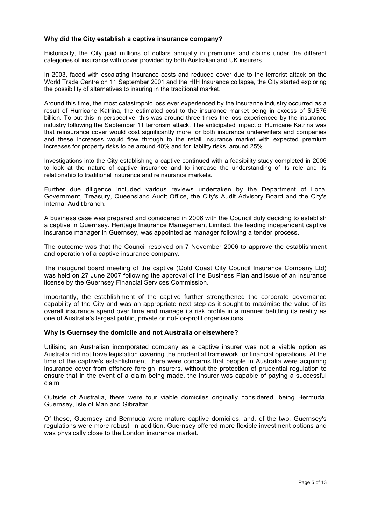# <span id="page-4-0"></span>**Why did the City establish a captive insurance company?**

Historically, the City paid millions of dollars annually in premiums and claims under the different categories of insurance with cover provided by both Australian and UK insurers.

In 2003, faced with escalating insurance costs and reduced cover due to the terrorist attack on the World Trade Centre on 11 September 2001 and the HIH Insurance collapse, the City started exploring the possibility of alternatives to insuring in the traditional market.

Around this time, the most catastrophic loss ever experienced by the insurance industry occurred as a result of Hurricane Katrina, the estimated cost to the insurance market being in excess of \$US76 billion. To put this in perspective, this was around three times the loss experienced by the insurance industry following the September 11 terrorism attack. The anticipated impact of Hurricane Katrina was that reinsurance cover would cost significantly more for both insurance underwriters and companies and these increases would flow through to the retail insurance market with expected premium increases for property risks to be around 40% and for liability risks, around 25%.

Investigations into the City establishing a captive continued with a feasibility study completed in 2006 to look at the nature of captive insurance and to increase the understanding of its role and its relationship to traditional insurance and reinsurance markets.

Further due diligence included various reviews undertaken by the Department of Local Government, Treasury, Queensland Audit Office, the City's Audit Advisory Board and the City's Internal Audit branch.

A business case was prepared and considered in 2006 with the Council duly deciding to establish a captive in Guernsey. Heritage Insurance Management Limited, the leading independent captive insurance manager in Guernsey, was appointed as manager following a tender process.

The outcome was that the Council resolved on 7 November 2006 to approve the establishment and operation of a captive insurance company.

The inaugural board meeting of the captive (Gold Coast City Council Insurance Company Ltd) was held on 27 June 2007 following the approval of the Business Plan and issue of an insurance license by the Guernsey Financial Services Commission.

Importantly, the establishment of the captive further strengthened the corporate governance capability of the City and was an appropriate next step as it sought to maximise the value of its overall insurance spend over time and manage its risk profile in a manner befitting its reality as one of Australia's largest public, private or not-for-profit organisations.

#### <span id="page-4-1"></span>**Why is Guernsey the domicile and not Australia or elsewhere?**

Utilising an Australian incorporated company as a captive insurer was not a viable option as Australia did not have legislation covering the prudential framework for financial operations. At the time of the captive's establishment, there were concerns that people in Australia were acquiring insurance cover from offshore foreign insurers, without the protection of prudential regulation to ensure that in the event of a claim being made, the insurer was capable of paying a successful claim.

Outside of Australia, there were four viable domiciles originally considered, being Bermuda, Guernsey, Isle of Man and Gibraltar.

Of these, Guernsey and Bermuda were mature captive domiciles, and, of the two, Guernsey's regulations were more robust. In addition, Guernsey offered more flexible investment options and was physically close to the London insurance market.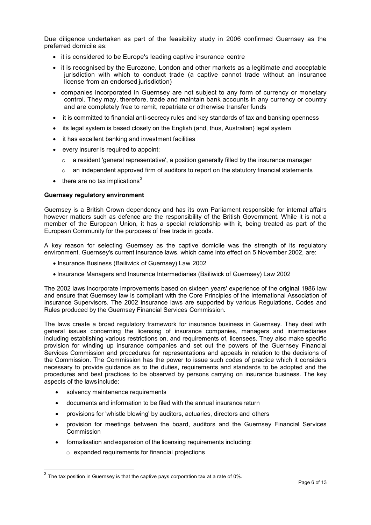Due diligence undertaken as part of the feasibility study in 2006 confirmed Guernsey as the preferred domicile as:

- it is considered to be Europe's leading captive insurance centre
- it is recognised by the Eurozone, London and other markets as a legitimate and acceptable jurisdiction with which to conduct trade (a captive cannot trade without an insurance license from an endorsed jurisdiction)
- companies incorporated in Guernsey are not subject to any form of currency or monetary control. They may, therefore, trade and maintain bank accounts in any currency or country and are completely free to remit, repatriate or otherwise transfer funds
- it is committed to financial anti-secrecy rules and key standards of tax and banking openness
- its legal system is based closely on the English (and, thus, Australian) legal system
- it has excellent banking and investment facilities
- every insurer is required to appoint:
	- $\circ$  a resident 'general representative', a position generally filled by the insurance manager
	- $\circ$  an independent approved firm of auditors to report on the statutory financial statements
- $\bullet$  there are no tax implications<sup>[3](#page-5-1)</sup>

#### <span id="page-5-0"></span>**Guernsey regulatory environment**

Guernsey is a British Crown dependency and has its own Parliament responsible for internal affairs however matters such as defence are the responsibility of the British Government. While it is not a member of the European Union, it has a special relationship with it, being treated as part of the European Community for the purposes of free trade in goods.

A key reason for selecting Guernsey as the captive domicile was the strength of its regulatory environment. Guernsey's current insurance laws, which came into effect on 5 November 2002, are:

- Insurance Business (Bailiwick of Guernsey) Law 2002
- Insurance Managers and Insurance Intermediaries (Bailiwick of Guernsey) Law 2002

The 2002 laws incorporate improvements based on sixteen years' experience of the original 1986 law and ensure that Guernsey law is compliant with the Core Principles of the International Association of Insurance Supervisors. The 2002 insurance laws are supported by various Regulations, Codes and Rules produced by the Guernsey Financial Services Commission.

The laws create a broad regulatory framework for insurance business in Guernsey. They deal with general issues concerning the licensing of insurance companies, managers and intermediaries including establishing various restrictions on, and requirements of, licensees. They also make specific provision for winding up insurance companies and set out the powers of the Guernsey Financial Services Commission and procedures for representations and appeals in relation to the decisions of the Commission. The Commission has the power to issue such codes of practice which it considers necessary to provide guidance as to the duties, requirements and standards to be adopted and the procedures and best practices to be observed by persons carrying on insurance business. The key aspects of the laws include:

- solvency maintenance requirements
- documents and information to be filed with the annual insurancereturn
- provisions for 'whistle blowing' by auditors, actuaries, directors and others
- provision for meetings between the board, auditors and the Guernsey Financial Services Commission
- formalisation and expansion of the licensing requirements including:
	- o expanded requirements for financial projections

<span id="page-5-1"></span> $^3$  The tax position in Guernsey is that the captive pays corporation tax at a rate of 0%.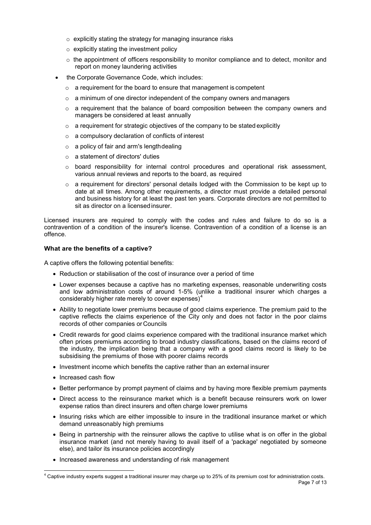- o explicitly stating the strategy for managing insurance risks
- $\circ$  explicitly stating the investment policy
- $\circ$  the appointment of officers responsibility to monitor compliance and to detect, monitor and report on money laundering activities
- the Corporate Governance Code, which includes:
	- $\circ$  a requirement for the board to ensure that management is competent
	- $\circ$  a minimum of one director independent of the company owners and managers
	- $\circ$  a requirement that the balance of board composition between the company owners and managers be considered at least annually
	- $\circ$  a requirement for strategic objectives of the company to be stated explicitly
	- o a compulsory declaration of conflicts of interest
	- o a policy of fair and arm's lengthdealing
	- o a statement of directors' duties
	- $\circ$  board responsibility for internal control procedures and operational risk assessment, various annual reviews and reports to the board, as required
	- $\circ$  a requirement for directors' personal details lodged with the Commission to be kept up to date at all times. Among other requirements, a director must provide a detailed personal and business history for at least the past ten years. Corporate directors are not permitted to sit as director on a licensedinsurer.

Licensed insurers are required to comply with the codes and rules and failure to do so is a contravention of a condition of the insurer's license. Contravention of a condition of a license is an offence.

# <span id="page-6-0"></span>**What are the benefits of a captive?**

A captive offers the following potential benefits:

- Reduction or stabilisation of the cost of insurance over a period of time
- Lower expenses because a captive has no marketing expenses, reasonable underwriting costs and low administration costs of around 1-5% (unlike a traditional insurer which charges a considerably higher rate merely to cover expenses)<sup>[4](#page-6-1)</sup>
- Ability to negotiate lower premiums because of good claims experience. The premium paid to the captive reflects the claims experience of the City only and does not factor in the poor claims records of other companies or Councils
- Credit rewards for good claims experience compared with the traditional insurance market which often prices premiums according to broad industry classifications, based on the claims record of the industry, the implication being that a company with a good claims record is likely to be subsidising the premiums of those with poorer claims records
- Investment income which benefits the captive rather than an external insurer
- Increased cash flow
- Better performance by prompt payment of claims and by having more flexible premium payments
- Direct access to the reinsurance market which is a benefit because reinsurers work on lower expense ratios than direct insurers and often charge lower premiums
- Insuring risks which are either impossible to insure in the traditional insurance market or which demand unreasonably high premiums
- Being in partnership with the reinsurer allows the captive to utilise what is on offer in the global insurance market (and not merely having to avail itself of a 'package' negotiated by someone else), and tailor its insurance policies accordingly
- Increased awareness and understanding of risk management

<span id="page-6-1"></span>Page 7 of 13  $4$  Captive industry experts suggest a traditional insurer may charge up to 25% of its premium cost for administration costs.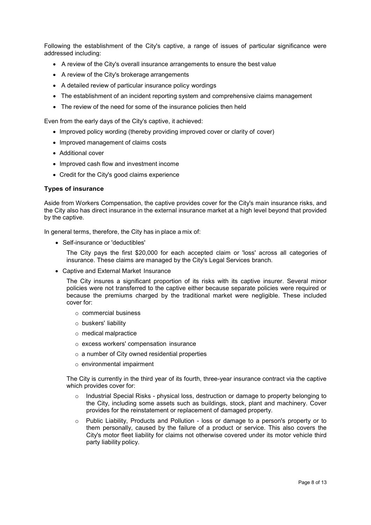Following the establishment of the City's captive, a range of issues of particular significance were addressed including:

- A review of the City's overall insurance arrangements to ensure the best value
- A review of the City's brokerage arrangements
- A detailed review of particular insurance policy wordings
- The establishment of an incident reporting system and comprehensive claims management
- The review of the need for some of the insurance policies then held

Even from the early days of the City's captive, it achieved:

- Improved policy wording (thereby providing improved cover or clarity of cover)
- Improved management of claims costs
- Additional cover
- Improved cash flow and investment income
- Credit for the City's good claims experience

#### <span id="page-7-0"></span>**Types of insurance**

Aside from Workers Compensation, the captive provides cover for the City's main insurance risks, and the City also has direct insurance in the external insurance market at a high level beyond that provided by the captive.

In general terms, therefore, the City has in place a mix of:

• Self-insurance or 'deductibles'

The City pays the first \$20,000 for each accepted claim or 'loss' across all categories of insurance. These claims are managed by the City's Legal Services branch.

• Captive and External Market Insurance

The City insures a significant proportion of its risks with its captive insurer. Several minor policies were not transferred to the captive either because separate policies were required or because the premiums charged by the traditional market were negligible. These included cover for:

- o commercial business
- o buskers' liability
- o medical malpractice
- o excess workers' compensation insurance
- $\circ$  a number of City owned residential properties
- o environmental impairment

The City is currently in the third year of its fourth, three-year insurance contract via the captive which provides cover for:

- $\circ$  Industrial Special Risks physical loss, destruction or damage to property belonging to the City, including some assets such as buildings, stock, plant and machinery. Cover provides for the reinstatement or replacement of damaged property.
- $\circ$  Public Liability, Products and Pollution loss or damage to a person's property or to them personally, caused by the failure of a product or service. This also covers the City's motor fleet liability for claims not otherwise covered under its motor vehicle third party liability policy.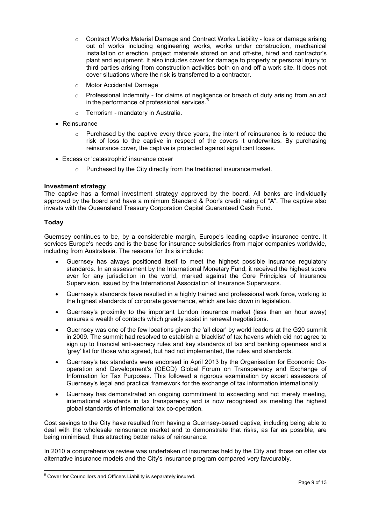- $\circ$  Contract Works Material Damage and Contract Works Liability loss or damage arising out of works including engineering works, works under construction, mechanical installation or erection, project materials stored on and off-site, hired and contractor's plant and equipment. It also includes cover for damage to property or personal injury to third parties arising from construction activities both on and off a work site. It does not cover situations where the risk is transferred to a contractor.
- o Motor Accidental Damage
- $\circ$  Professional Indemnity for claims of negligence or breach of duty arising from an act in the performance of professional services.
- o Terrorism mandatory in Australia.
- Reinsurance
	- $\circ$  Purchased by the captive every three years, the intent of reinsurance is to reduce the risk of loss to the captive in respect of the covers it underwrites. By purchasing reinsurance cover, the captive is protected against significant losses.
- Excess or 'catastrophic' insurance cover
	- o Purchased by the City directly from the traditional insurancemarket.

# <span id="page-8-0"></span>**Investment strategy**

The captive has a formal investment strategy approved by the board. All banks are individually approved by the board and have a minimum Standard & Poor's credit rating of "A". The captive also invests with the Queensland Treasury Corporation Capital Guaranteed Cash Fund.

# <span id="page-8-1"></span>**Today**

Guernsey continues to be, by a considerable margin, Europe's leading captive insurance centre. It services Europe's needs and is the base for insurance subsidiaries from major companies worldwide, including from Australasia. The reasons for this is include:

- Guernsey has always positioned itself to meet the highest possible insurance regulatory standards. In an assessment by the International Monetary Fund, it received the highest score ever for any jurisdiction in the world, marked against the Core Principles of Insurance Supervision, issued by the International Association of Insurance Supervisors.
- Guernsey's standards have resulted in a highly trained and professional work force, working to the highest standards of corporate governance, which are laid down in legislation.
- Guernsey's proximity to the important London insurance market (less than an hour away) ensures a wealth of contacts which greatly assist in renewal negotiations.
- Guernsey was one of the few locations given the 'all clear' by world leaders at the G20 summit in 2009. The summit had resolved to establish a 'blacklist' of tax havens which did not agree to sign up to financial anti-secrecy rules and key standards of tax and banking openness and a 'grey' list for those who agreed, but had not implemented, the rules and standards.
- Guernsey's tax standards were endorsed in April 2013 by the Organisation for Economic Cooperation and Development's (OECD) Global Forum on Transparency and Exchange of Information for Tax Purposes. This followed a rigorous examination by expert assessors of Guernsey's legal and practical framework for the exchange of tax information internationally.
- Guernsey has demonstrated an ongoing commitment to exceeding and not merely meeting, international standards in tax transparency and is now recognised as meeting the highest global standards of international tax co-operation.

Cost savings to the City have resulted from having a Guernsey-based captive, including being able to deal with the wholesale reinsurance market and to demonstrate that risks, as far as possible, are being minimised, thus attracting better rates of reinsurance.

In 2010 a comprehensive review was undertaken of insurances held by the City and those on offer via alternative insurance models and the City's insurance program compared very favourably.

<span id="page-8-2"></span><sup>&</sup>lt;sup>5</sup> Cover for Councillors and Officers Liability is separately insured.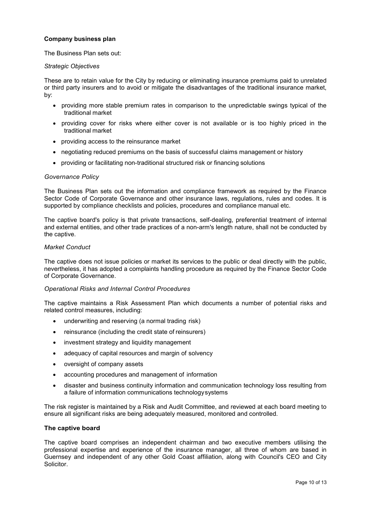# <span id="page-9-0"></span>**Company business plan**

The Business Plan sets out:

#### <span id="page-9-1"></span>*Strategic Objectives*

These are to retain value for the City by reducing or eliminating insurance premiums paid to unrelated or third party insurers and to avoid or mitigate the disadvantages of the traditional insurance market, by:

- providing more stable premium rates in comparison to the unpredictable swings typical of the traditional market
- providing cover for risks where either cover is not available or is too highly priced in the traditional market
- providing access to the reinsurance market
- negotiating reduced premiums on the basis of successful claims management or history
- providing or facilitating non-traditional structured risk or financing solutions

#### <span id="page-9-2"></span>*Governance Policy*

The Business Plan sets out the information and compliance framework as required by the Finance Sector Code of Corporate Governance and other insurance laws, regulations, rules and codes. It is supported by compliance checklists and policies, procedures and compliance manual etc.

The captive board's policy is that private transactions, self-dealing, preferential treatment of internal and external entities, and other trade practices of a non-arm's length nature, shall not be conducted by the captive.

#### <span id="page-9-3"></span>*Market Conduct*

The captive does not issue policies or market its services to the public or deal directly with the public, nevertheless, it has adopted a complaints handling procedure as required by the Finance Sector Code of Corporate Governance.

#### <span id="page-9-4"></span>*Operational Risks and Internal Control Procedures*

The captive maintains a Risk Assessment Plan which documents a number of potential risks and related control measures, including:

- underwriting and reserving (a normal trading risk)
- reinsurance (including the credit state of reinsurers)
- investment strategy and liquidity management
- adequacy of capital resources and margin of solvency
- oversight of company assets
- accounting procedures and management of information
- disaster and business continuity information and communication technology loss resulting from a failure of information communications technologysystems

The risk register is maintained by a Risk and Audit Committee, and reviewed at each board meeting to ensure all significant risks are being adequately measured, monitored and controlled.

#### <span id="page-9-5"></span>**The captive board**

The captive board comprises an independent chairman and two executive members utilising the professional expertise and experience of the insurance manager, all three of whom are based in Guernsey and independent of any other Gold Coast affiliation, along with Council's CEO and City Solicitor.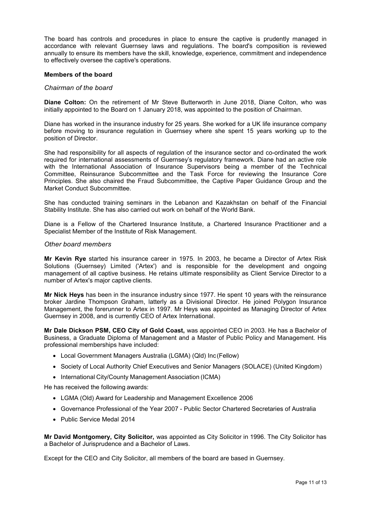The board has controls and procedures in place to ensure the captive is prudently managed in accordance with relevant Guernsey laws and regulations. The board's composition is reviewed annually to ensure its members have the skill, knowledge, experience, commitment and independence to effectively oversee the captive's operations.

#### <span id="page-10-0"></span>**Members of the board**

#### <span id="page-10-1"></span>*Chairman of the board*

**Diane Colton:** On the retirement of Mr Steve Butterworth in June 2018, Diane Colton, who was initially appointed to the Board on 1 January 2018, was appointed to the position of Chairman.

Diane has worked in the insurance industry for 25 years. She worked for a UK life insurance company before moving to insurance regulation in Guernsey where she spent 15 years working up to the position of Director.

She had responsibility for all aspects of regulation of the insurance sector and co-ordinated the work required for international assessments of Guernsey's regulatory framework. Diane had an active role with the International Association of Insurance Supervisors being a member of the Technical Committee, Reinsurance Subcommittee and the Task Force for reviewing the Insurance Core Principles. She also chaired the Fraud Subcommittee, the Captive Paper Guidance Group and the Market Conduct Subcommittee.

She has conducted training seminars in the Lebanon and Kazakhstan on behalf of the Financial Stability Institute. She has also carried out work on behalf of the World Bank.

Diane is a Fellow of the Chartered Insurance Institute, a Chartered Insurance Practitioner and a Specialist Member of the Institute of Risk Management.

#### <span id="page-10-2"></span>*Other board members*

**Mr Kevin Rye** started his insurance career in 1975. In 2003, he became a Director of Artex Risk Solutions (Guernsey) Limited ('Artex') and is responsible for the development and ongoing management of all captive business. He retains ultimate responsibility as Client Service Director to a number of Artex's major captive clients.

**Mr Nick Heys** has been in the insurance industry since 1977. He spent 10 years with the reinsurance broker Jardine Thompson Graham, latterly as a Divisional Director. He joined Polygon Insurance Management, the forerunner to Artex in 1997. Mr Heys was appointed as Managing Director of Artex Guernsey in 2008, and is currently CEO of Artex International.

**Mr Dale Dickson PSM, CEO City of Gold Coast,** was appointed CEO in 2003. He has a Bachelor of Business, a Graduate Diploma of Management and a Master of Public Policy and Management. His professional memberships have included:

- Local Government Managers Australia (LGMA) (Qld) Inc (Fellow)
- Society of Local Authority Chief Executives and Senior Managers (SOLACE) (United Kingdom)
- International City/County Management Association (ICMA)

He has received the following awards:

- LGMA (Old) Award for Leadership and Management Excellence 2006
- Governance Professional of the Year 2007 Public Sector Chartered Secretaries of Australia
- Public Service Medal 2014

**Mr David Montgomery, City Solicitor,** was appointed as City Solicitor in 1996. The City Solicitor has a Bachelor of Jurisprudence and a Bachelor of Laws.

Except for the CEO and City Solicitor, all members of the board are based in Guernsey.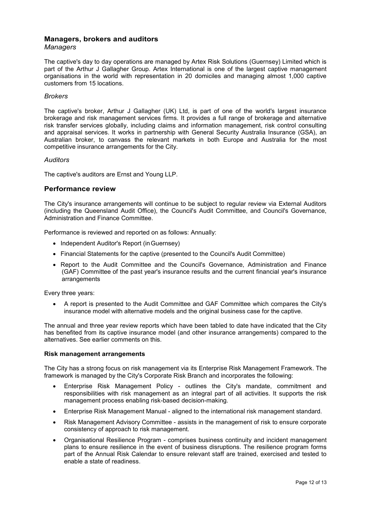#### <span id="page-11-1"></span><span id="page-11-0"></span>**Managers, brokers and auditors** *Managers*

The captive's day to day operations are managed by Artex Risk Solutions (Guernsey) Limited which is part of the Arthur J Gallagher Group. Artex International is one of the largest captive management organisations in the world with representation in 20 domiciles and managing almost 1,000 captive customers from 15 locations.

# <span id="page-11-2"></span>*Brokers*

The captive's broker, Arthur J Gallagher (UK) Ltd, is part of one of the world's largest insurance brokerage and risk management services firms. It provides a full range of brokerage and alternative risk transfer services globally, including claims and information management, risk control consulting and appraisal services. It works in partnership with General Security Australia Insurance (GSA), an Australian broker, to canvass the relevant markets in both Europe and Australia for the most competitive insurance arrangements for the City.

#### <span id="page-11-3"></span>*Auditors*

The captive's auditors are Ernst and Young LLP.

# <span id="page-11-4"></span>**Performance review**

The City's insurance arrangements will continue to be subject to regular review via External Auditors (including the Queensland Audit Office), the Council's Audit Committee, and Council's Governance, Administration and Finance Committee.

Performance is reviewed and reported on as follows: Annually:

- Independent Auditor's Report (in Guernsey)
- Financial Statements for the captive (presented to the Council's Audit Committee)
- Report to the Audit Committee and the Council's Governance, Administration and Finance (GAF) Committee of the past year's insurance results and the current financial year's insurance arrangements

Every three years:

• A report is presented to the Audit Committee and GAF Committee which compares the City's insurance model with alternative models and the original business case for the captive.

The annual and three year review reports which have been tabled to date have indicated that the City has benefited from its captive insurance model (and other insurance arrangements) compared to the alternatives. See earlier comments on this.

#### <span id="page-11-5"></span>**Risk management arrangements**

The City has a strong focus on risk management via its Enterprise Risk Management Framework. The framework is managed by the City's Corporate Risk Branch and incorporates the following:

- Enterprise Risk Management Policy outlines the City's mandate, commitment and responsibilities with risk management as an integral part of all activities. It supports the risk management process enabling risk-based decision-making.
- Enterprise Risk Management Manual aligned to the international risk management standard.
- Risk Management Advisory Committee assists in the management of risk to ensure corporate consistency of approach to risk management.
- Organisational Resilience Program comprises business continuity and incident management plans to ensure resilience in the event of business disruptions. The resilience program forms part of the Annual Risk Calendar to ensure relevant staff are trained, exercised and tested to enable a state of readiness.